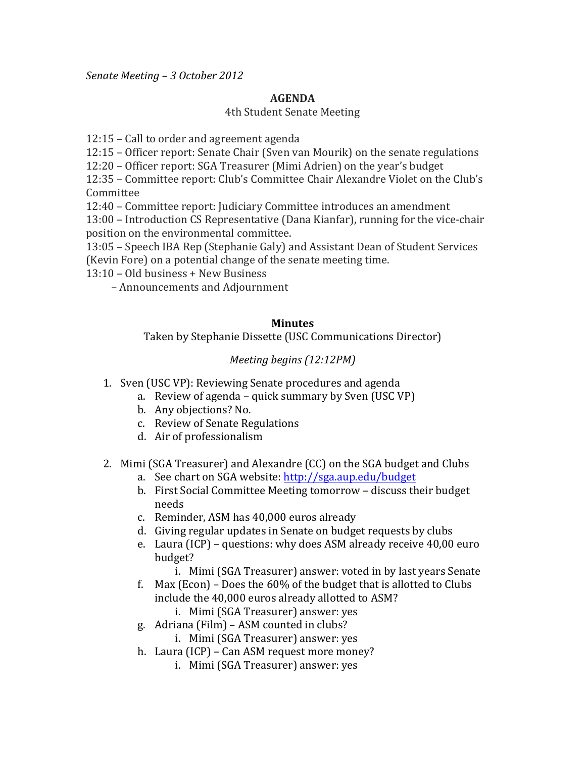*Senate&Meeting – 3&October 2012*

## **AGENDA**

## 4th Student Senate Meeting

 $12:15$  – Call to order and agreement agenda

12:15 – Officer report: Senate Chair (Sven van Mourik) on the senate regulations

12:20 – Officer report: SGA Treasurer (Mimi Adrien) on the year's budget

12:35 – Committee report: Club's Committee Chair Alexandre Violet on the Club's Committee

12:40 – Committee report: Judiciary Committee introduces an amendment

13:00 – Introduction CS Representative (Dana Kianfar), running for the vice-chair position on the environmental committee.

13:05 – Speech IBA Rep (Stephanie Galy) and Assistant Dean of Student Services (Kevin Fore) on a potential change of the senate meeting time.

 $13:10$  – Old business + New Business

 $-$  Announcements and Adjournment

## **Minutes**

Taken by Stephanie Dissette (USC Communications Director)

## *Meeting begins (12:12PM)*

- 1. Sven (USC VP): Reviewing Senate procedures and agenda
	- a. Review of agenda quick summary by Sven (USC VP)
	- b. Any objections? No.
	- c. Review of Senate Regulations
	- d. Air of professionalism
- 2. Mimi (SGA Treasurer) and Alexandre (CC) on the SGA budget and Clubs
	- a. See chart on SGA website: http://sga.aup.edu/budget
	- b. First Social Committee Meeting tomorrow discuss their budget needs
	- c. Reminder, ASM has 40,000 euros already
	- d. Giving regular updates in Senate on budget requests by clubs
	- e. Laura (ICP) questions: why does ASM already receive  $40,00$  euro budget?
		- i. Mimi (SGA Treasurer) answer: voted in by last years Senate
	- f. Max (Econ) Does the  $60\%$  of the budget that is allotted to Clubs include the 40,000 euros already allotted to ASM?
		- i. Mimi (SGA Treasurer) answer: yes
	- g. Adriana (Film) ASM counted in clubs?
		- i. Mimi (SGA Treasurer) answer: yes
	- h. Laura (ICP) Can ASM request more money?
		- i. Mimi (SGA Treasurer) answer: yes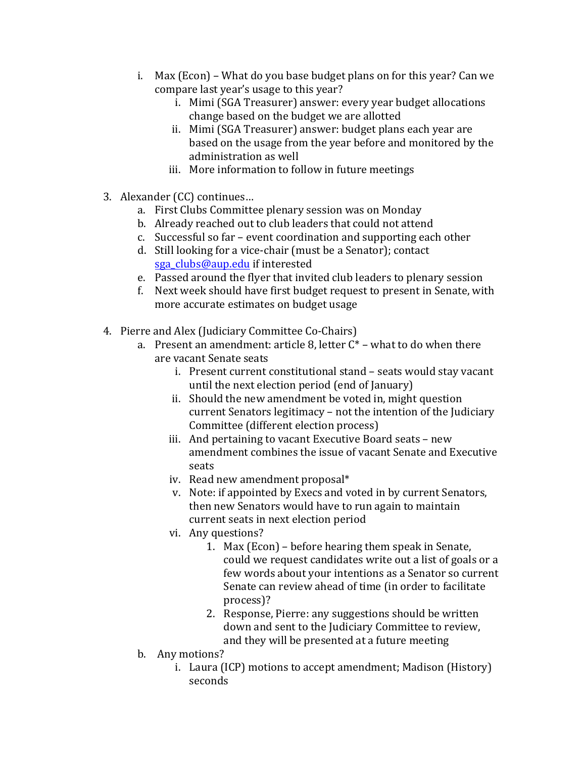- i. Max (Econ) What do you base budget plans on for this year? Can we compare last year's usage to this year?
	- i. Mimi (SGA Treasurer) answer: every year budget allocations change based on the budget we are allotted
	- ii. Mimi (SGA Treasurer) answer: budget plans each year are based on the usage from the year before and monitored by the administration as well
	- iii. More information to follow in future meetings
- 3. Alexander (CC) continues...
	- a. First Clubs Committee plenary session was on Monday
	- b. Already reached out to club leaders that could not attend
	- c. Successful so far event coordination and supporting each other
	- d. Still looking for a vice-chair (must be a Senator); contact sga\_clubs@aup.edu if interested
	- e. Passed around the flyer that invited club leaders to plenary session
	- f. Next week should have first budget request to present in Senate, with more accurate estimates on budget usage
- 4. Pierre and Alex (Judiciary Committee Co-Chairs)
	- a. Present an amendment: article 8, letter  $C^*$  what to do when there are vacant Senate seats
		- i. Present current constitutional stand seats would stay vacant until the next election period (end of January)
		- ii. Should the new amendment be voted in, might question current Senators legitimacy – not the intention of the Judiciary Committee (different election process)
		- iii. And pertaining to vacant Executive Board seats new amendment combines the issue of vacant Senate and Executive seats
		- iv. Read new amendment proposal $*$
		- v. Note: if appointed by Execs and voted in by current Senators, then new Senators would have to run again to maintain current seats in next election period
		- vi. Any questions?
			- 1. Max (Econ) before hearing them speak in Senate, could we request candidates write out a list of goals or a few words about your intentions as a Senator so current Senate can review ahead of time (in order to facilitate process)?
			- 2. Response, Pierre: any suggestions should be written down and sent to the Judiciary Committee to review, and they will be presented at a future meeting
	- b. Any motions?
		- i. Laura (ICP) motions to accept amendment; Madison (History) seconds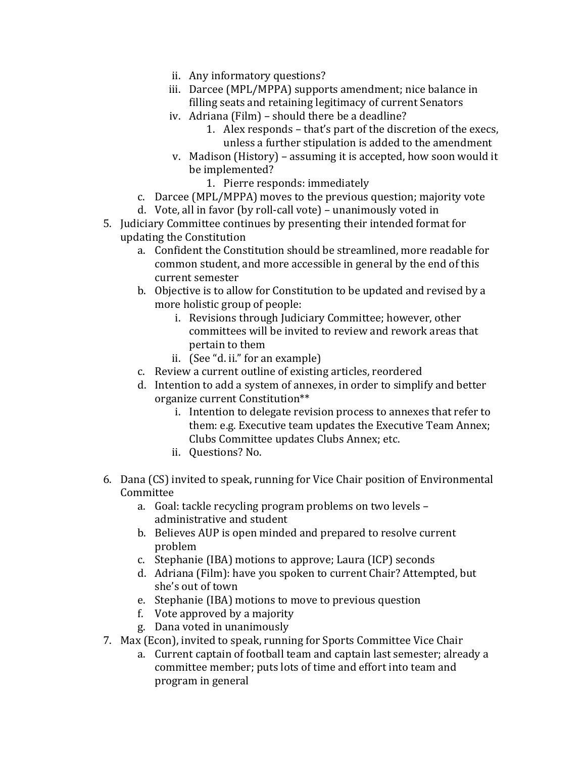- ii. Any informatory questions?
- iii. Darcee (MPL/MPPA) supports amendment; nice balance in filling seats and retaining legitimacy of current Senators
- iv. Adriana (Film) should there be a deadline?
	- 1. Alex responds that's part of the discretion of the execs, unless a further stipulation is added to the amendment
- v. Madison (History) assuming it is accepted, how soon would it be implemented?
	- 1. Pierre responds: immediately
- c. Darcee (MPL/MPPA) moves to the previous question; majority vote
- d. Vote, all in favor (by roll-call vote) unanimously voted in
- 5. Judiciary Committee continues by presenting their intended format for updating the Constitution
	- a. Confident the Constitution should be streamlined, more readable for common student, and more accessible in general by the end of this current semester
	- b. Objective is to allow for Constitution to be updated and revised by a more holistic group of people:
		- i. Revisions through Judiciary Committee; however, other committees will be invited to review and rework areas that pertain to them
		- ii. (See "d. ii." for an example)
	- c. Review a current outline of existing articles, reordered
	- d. Intention to add a system of annexes, in order to simplify and better organize current Constitution\*\*
		- i. Intention to delegate revision process to annexes that refer to them: e.g. Executive team updates the Executive Team Annex; Clubs Committee updates Clubs Annex; etc.
		- ii. Questions? No.
- 6. Dana (CS) invited to speak, running for Vice Chair position of Environmental Committee
	- a. Goal: tackle recycling program problems on two levels administrative and student
	- b. Believes AUP is open minded and prepared to resolve current problem
	- c. Stephanie (IBA) motions to approve; Laura (ICP) seconds
	- d. Adriana (Film): have you spoken to current Chair? Attempted, but she's out of town
	- e. Stephanie (IBA) motions to move to previous question
	- f. Vote approved by a majority
	- g. Dana voted in unanimously
- 7. Max (Econ), invited to speak, running for Sports Committee Vice Chair
	- a. Current captain of football team and captain last semester; already a committee member; puts lots of time and effort into team and program in general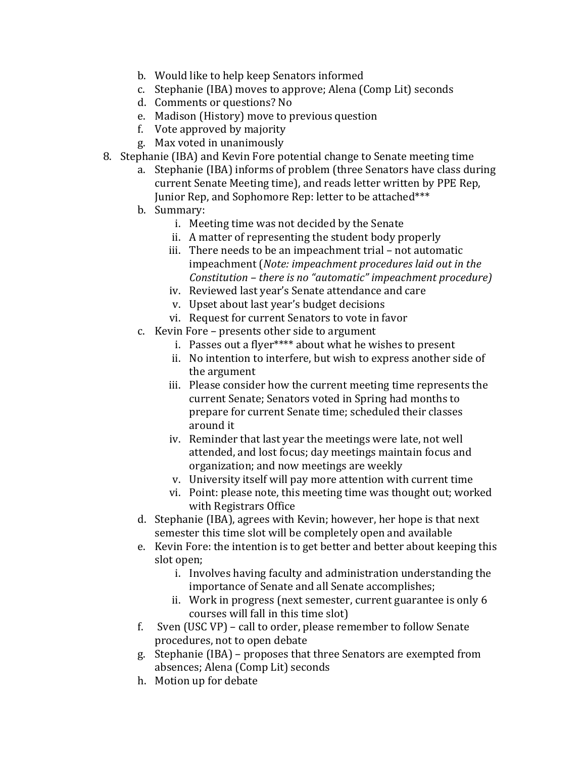- b. Would like to help keep Senators informed
- c. Stephanie (IBA) moves to approve; Alena (Comp Lit) seconds
- d. Comments or questions? No
- e. Madison (History) move to previous question
- f. Vote approved by majority
- g. Max voted in unanimously
- 8. Stephanie (IBA) and Kevin Fore potential change to Senate meeting time
	- a. Stephanie (IBA) informs of problem (three Senators have class during current Senate Meeting time), and reads letter written by PPE Rep. Junior Rep, and Sophomore Rep: letter to be attached\*\*\*
	- b. Summary:
		- i. Meeting time was not decided by the Senate
		- ii. A matter of representing the student body properly
		- iii. There needs to be an impeachment trial not automatic impeachment (*Note: impeachment procedures laid out in the Constitution – there is no "automatic" impeachment procedure)*
		- iv. Reviewed last year's Senate attendance and care
		- v. Upset about last year's budget decisions
		- vi. Request for current Senators to vote in favor
	- c. Kevin Fore presents other side to argument
		- i. Passes out a flyer\*\*\*\* about what he wishes to present
		- ii. No intention to interfere, but wish to express another side of the argument
		- iii. Please consider how the current meeting time represents the current Senate; Senators voted in Spring had months to prepare for current Senate time; scheduled their classes around it
		- iv. Reminder that last year the meetings were late, not well attended, and lost focus; day meetings maintain focus and organization; and now meetings are weekly
		- v. University itself will pay more attention with current time
		- vi. Point: please note, this meeting time was thought out; worked with Registrars Office
	- d. Stephanie (IBA), agrees with Kevin; however, her hope is that next semester this time slot will be completely open and available
	- e. Kevin Fore: the intention is to get better and better about keeping this slot open;
		- i. Involves having faculty and administration understanding the importance of Senate and all Senate accomplishes;
		- ii. Work in progress (next semester, current guarantee is only  $6$ courses will fall in this time slot)
	- f. Sven (USC VP) call to order, please remember to follow Senate procedures, not to open debate
	- g. Stephanie (IBA) proposes that three Senators are exempted from absences; Alena (Comp Lit) seconds
	- h. Motion up for debate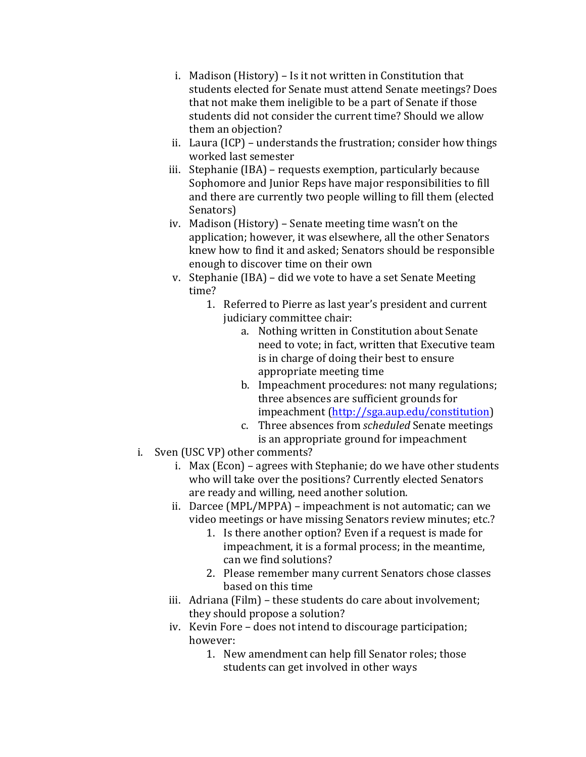- i. Madison (History) Is it not written in Constitution that students elected for Senate must attend Senate meetings? Does that not make them ineligible to be a part of Senate if those students did not consider the current time? Should we allow them an objection?
- ii. Laura (ICP) understands the frustration; consider how things worked last semester
- iii. Stephanie (IBA) requests exemption, particularly because Sophomore and Junior Reps have major responsibilities to fill and there are currently two people willing to fill them (elected Senators)
- iv. Madison (History) Senate meeting time wasn't on the application; however, it was elsewhere, all the other Senators knew how to find it and asked; Senators should be responsible enough to discover time on their own
- v. Stephanie (IBA) did we vote to have a set Senate Meeting time?
	- 1. Referred to Pierre as last year's president and current judiciary committee chair:
		- a. Nothing written in Constitution about Senate need to vote; in fact, written that Executive team is in charge of doing their best to ensure appropriate meeting time
		- b. Impeachment procedures: not many regulations; three absences are sufficient grounds for impeachment (http://sga.aup.edu/constitution)
		- c. Three absences from *scheduled* Senate meetings is an appropriate ground for impeachment
- i. Sven (USC VP) other comments?
	- i. Max (Econ) agrees with Stephanie; do we have other students who will take over the positions? Currently elected Senators are ready and willing, need another solution.
	- ii. Darcee (MPL/MPPA) impeachment is not automatic; can we video meetings or have missing Senators review minutes; etc.?
		- 1. Is there another option? Even if a request is made for impeachment, it is a formal process; in the meantime, can we find solutions?
		- 2. Please remember many current Senators chose classes based on this time
	- iii. Adriana (Film) these students do care about involvement; they should propose a solution?
	- iv. Kevin Fore does not intend to discourage participation; however:
		- 1. New amendment can help fill Senator roles; those students can get involved in other ways